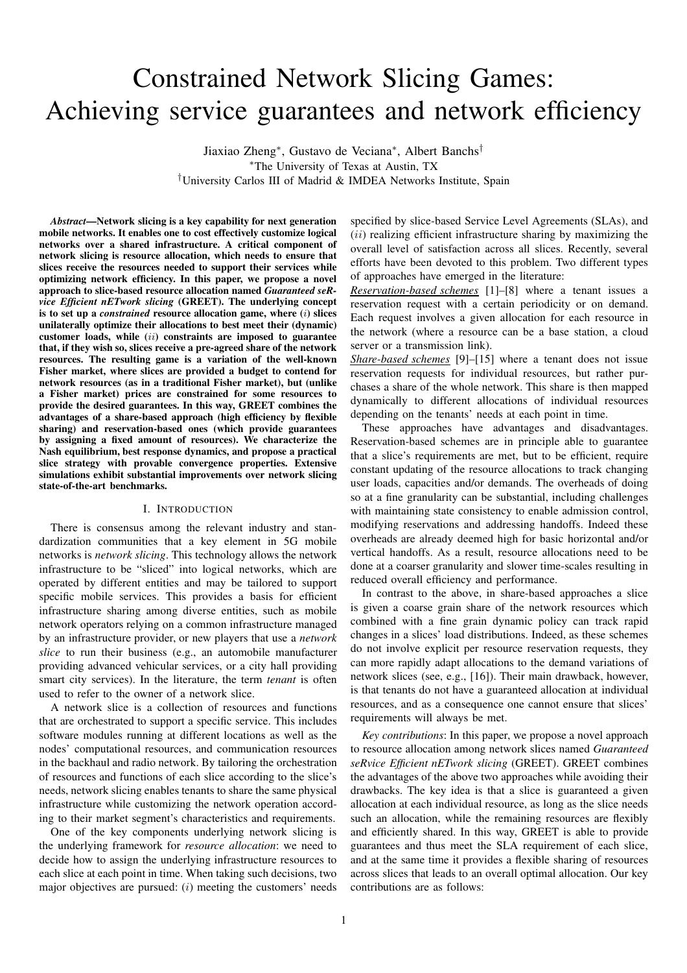# Constrained Network Slicing Games: Achieving service guarantees and network efficiency

Jiaxiao Zheng<sup>∗</sup> , Gustavo de Veciana<sup>∗</sup> , Albert Banchs† <sup>∗</sup>The University of Texas at Austin, TX †University Carlos III of Madrid & IMDEA Networks Institute, Spain

*Abstract*—Network slicing is a key capability for next generation mobile networks. It enables one to cost effectively customize logical networks over a shared infrastructure. A critical component of network slicing is resource allocation, which needs to ensure that slices receive the resources needed to support their services while optimizing network efficiency. In this paper, we propose a novel approach to slice-based resource allocation named *Guaranteed seRvice Efficient nETwork slicing* (GREET). The underlying concept is to set up a *constrained* resource allocation game, where (i) slices unilaterally optimize their allocations to best meet their (dynamic) customer loads, while  $(ii)$  constraints are imposed to guarantee that, if they wish so, slices receive a pre-agreed share of the network resources. The resulting game is a variation of the well-known Fisher market, where slices are provided a budget to contend for network resources (as in a traditional Fisher market), but (unlike a Fisher market) prices are constrained for some resources to provide the desired guarantees. In this way, GREET combines the advantages of a share-based approach (high efficiency by flexible sharing) and reservation-based ones (which provide guarantees by assigning a fixed amount of resources). We characterize the Nash equilibrium, best response dynamics, and propose a practical slice strategy with provable convergence properties. Extensive simulations exhibit substantial improvements over network slicing state-of-the-art benchmarks.

#### I. INTRODUCTION

There is consensus among the relevant industry and standardization communities that a key element in 5G mobile networks is *network slicing*. This technology allows the network infrastructure to be "sliced" into logical networks, which are operated by different entities and may be tailored to support specific mobile services. This provides a basis for efficient infrastructure sharing among diverse entities, such as mobile network operators relying on a common infrastructure managed by an infrastructure provider, or new players that use a *network slice* to run their business (e.g., an automobile manufacturer providing advanced vehicular services, or a city hall providing smart city services). In the literature, the term *tenant* is often used to refer to the owner of a network slice.

A network slice is a collection of resources and functions that are orchestrated to support a specific service. This includes software modules running at different locations as well as the nodes' computational resources, and communication resources in the backhaul and radio network. By tailoring the orchestration of resources and functions of each slice according to the slice's needs, network slicing enables tenants to share the same physical infrastructure while customizing the network operation according to their market segment's characteristics and requirements.

One of the key components underlying network slicing is the underlying framework for *resource allocation*: we need to decide how to assign the underlying infrastructure resources to each slice at each point in time. When taking such decisions, two major objectives are pursued:  $(i)$  meeting the customers' needs specified by slice-based Service Level Agreements (SLAs), and  $(ii)$  realizing efficient infrastructure sharing by maximizing the overall level of satisfaction across all slices. Recently, several efforts have been devoted to this problem. Two different types of approaches have emerged in the literature:

*Reservation-based schemes* [1]–[8] where a tenant issues a reservation request with a certain periodicity or on demand. Each request involves a given allocation for each resource in the network (where a resource can be a base station, a cloud server or a transmission link).

*Share-based schemes* [9]–[15] where a tenant does not issue reservation requests for individual resources, but rather purchases a share of the whole network. This share is then mapped dynamically to different allocations of individual resources depending on the tenants' needs at each point in time.

These approaches have advantages and disadvantages. Reservation-based schemes are in principle able to guarantee that a slice's requirements are met, but to be efficient, require constant updating of the resource allocations to track changing user loads, capacities and/or demands. The overheads of doing so at a fine granularity can be substantial, including challenges with maintaining state consistency to enable admission control, modifying reservations and addressing handoffs. Indeed these overheads are already deemed high for basic horizontal and/or vertical handoffs. As a result, resource allocations need to be done at a coarser granularity and slower time-scales resulting in reduced overall efficiency and performance.

In contrast to the above, in share-based approaches a slice is given a coarse grain share of the network resources which combined with a fine grain dynamic policy can track rapid changes in a slices' load distributions. Indeed, as these schemes do not involve explicit per resource reservation requests, they can more rapidly adapt allocations to the demand variations of network slices (see, e.g., [16]). Their main drawback, however, is that tenants do not have a guaranteed allocation at individual resources, and as a consequence one cannot ensure that slices' requirements will always be met.

*Key contributions*: In this paper, we propose a novel approach to resource allocation among network slices named *Guaranteed seRvice Efficient nETwork slicing* (GREET). GREET combines the advantages of the above two approaches while avoiding their drawbacks. The key idea is that a slice is guaranteed a given allocation at each individual resource, as long as the slice needs such an allocation, while the remaining resources are flexibly and efficiently shared. In this way, GREET is able to provide guarantees and thus meet the SLA requirement of each slice, and at the same time it provides a flexible sharing of resources across slices that leads to an overall optimal allocation. Our key contributions are as follows: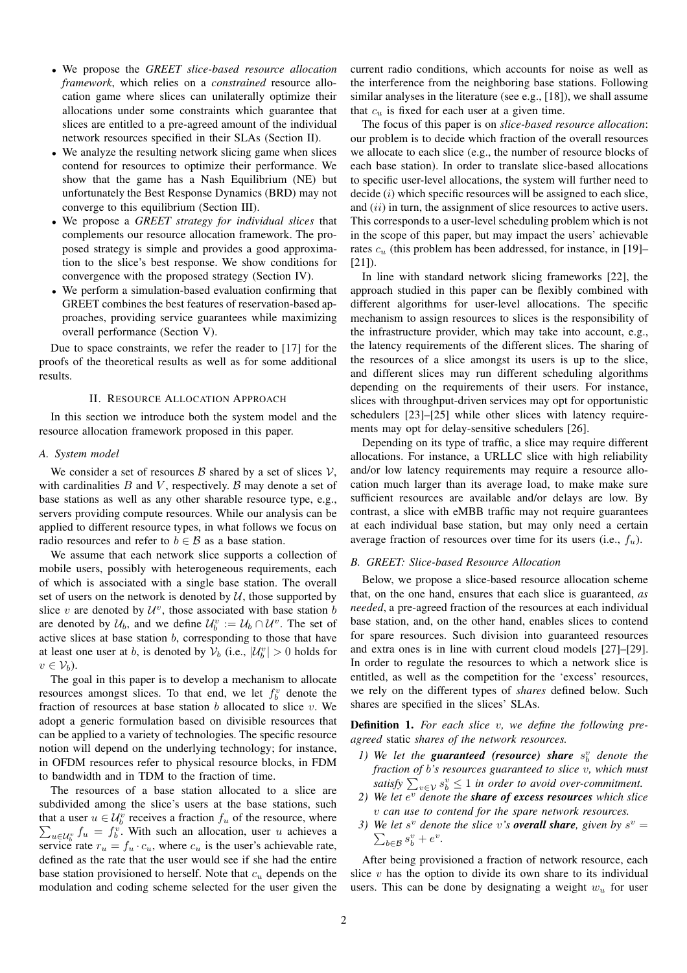- We propose the *GREET slice-based resource allocation framework*, which relies on a *constrained* resource allocation game where slices can unilaterally optimize their allocations under some constraints which guarantee that slices are entitled to a pre-agreed amount of the individual network resources specified in their SLAs (Section II).
- We analyze the resulting network slicing game when slices contend for resources to optimize their performance. We show that the game has a Nash Equilibrium (NE) but unfortunately the Best Response Dynamics (BRD) may not converge to this equilibrium (Section III).
- We propose a *GREET strategy for individual slices* that complements our resource allocation framework. The proposed strategy is simple and provides a good approximation to the slice's best response. We show conditions for convergence with the proposed strategy (Section IV).
- We perform a simulation-based evaluation confirming that GREET combines the best features of reservation-based approaches, providing service guarantees while maximizing overall performance (Section V).

Due to space constraints, we refer the reader to [17] for the proofs of the theoretical results as well as for some additional results.

## II. RESOURCE ALLOCATION APPROACH

In this section we introduce both the system model and the resource allocation framework proposed in this paper.

#### *A. System model*

We consider a set of resources  $\beta$  shared by a set of slices  $\mathcal{V}$ , with cardinalities  $B$  and  $V$ , respectively.  $B$  may denote a set of base stations as well as any other sharable resource type, e.g., servers providing compute resources. While our analysis can be applied to different resource types, in what follows we focus on radio resources and refer to  $b \in \mathcal{B}$  as a base station.

We assume that each network slice supports a collection of mobile users, possibly with heterogeneous requirements, each of which is associated with a single base station. The overall set of users on the network is denoted by  $U$ , those supported by slice v are denoted by  $\mathcal{U}^v$ , those associated with base station b are denoted by  $\mathcal{U}_b$ , and we define  $\mathcal{U}_b^v := \mathcal{U}_b \cap \mathcal{U}^v$ . The set of active slices at base station  $b$ , corresponding to those that have at least one user at *b*, is denoted by  $V_b$  (i.e.,  $|\mathcal{U}_b^v| > 0$  holds for  $v \in \mathcal{V}_b$ ).

The goal in this paper is to develop a mechanism to allocate resources amongst slices. To that end, we let  $f_b^v$  denote the fraction of resources at base station  $b$  allocated to slice  $v$ . We adopt a generic formulation based on divisible resources that can be applied to a variety of technologies. The specific resource notion will depend on the underlying technology; for instance, in OFDM resources refer to physical resource blocks, in FDM to bandwidth and in TDM to the fraction of time.

The resources of a base station allocated to a slice are subdivided among the slice's users at the base stations, such that a user  $u \in \mathcal{U}_b^v$  receives a fraction  $f_u$  of the resource, where  $\sum_{u \in \mathcal{U}_b^v} f_u = f_b^v$ . With such an allocation, user u achieves a service rate  $r_u = f_u \cdot c_u$ , where  $c_u$  is the user's achievable rate, defined as the rate that the user would see if she had the entire base station provisioned to herself. Note that  $c<sub>u</sub>$  depends on the modulation and coding scheme selected for the user given the current radio conditions, which accounts for noise as well as the interference from the neighboring base stations. Following similar analyses in the literature (see e.g., [18]), we shall assume that  $c_u$  is fixed for each user at a given time.

The focus of this paper is on *slice-based resource allocation*: our problem is to decide which fraction of the overall resources we allocate to each slice (e.g., the number of resource blocks of each base station). In order to translate slice-based allocations to specific user-level allocations, the system will further need to decide  $(i)$  which specific resources will be assigned to each slice, and  $(ii)$  in turn, the assignment of slice resources to active users. This corresponds to a user-level scheduling problem which is not in the scope of this paper, but may impact the users' achievable rates  $c<sub>u</sub>$  (this problem has been addressed, for instance, in [19]– [21]).

In line with standard network slicing frameworks [22], the approach studied in this paper can be flexibly combined with different algorithms for user-level allocations. The specific mechanism to assign resources to slices is the responsibility of the infrastructure provider, which may take into account, e.g., the latency requirements of the different slices. The sharing of the resources of a slice amongst its users is up to the slice, and different slices may run different scheduling algorithms depending on the requirements of their users. For instance, slices with throughput-driven services may opt for opportunistic schedulers [23]–[25] while other slices with latency requirements may opt for delay-sensitive schedulers [26].

Depending on its type of traffic, a slice may require different allocations. For instance, a URLLC slice with high reliability and/or low latency requirements may require a resource allocation much larger than its average load, to make make sure sufficient resources are available and/or delays are low. By contrast, a slice with eMBB traffic may not require guarantees at each individual base station, but may only need a certain average fraction of resources over time for its users (i.e.,  $f_u$ ).

## *B. GREET: Slice-based Resource Allocation*

Below, we propose a slice-based resource allocation scheme that, on the one hand, ensures that each slice is guaranteed, *as needed*, a pre-agreed fraction of the resources at each individual base station, and, on the other hand, enables slices to contend for spare resources. Such division into guaranteed resources and extra ones is in line with current cloud models [27]–[29]. In order to regulate the resources to which a network slice is entitled, as well as the competition for the 'excess' resources, we rely on the different types of *shares* defined below. Such shares are specified in the slices' SLAs.

Definition 1. *For each slice* v*, we define the following preagreed* static *shares of the network resources.*

- *1)* We let the **guaranteed** (resource) share  $s_b^v$  denote the *fraction of* b*'s resources guaranteed to slice* v*, which must* satisfy  $\sum_{v \in \mathcal{V}} s_b^v \leq 1$  in order to avoid over-commitment.
- 2) We let  $e^v$  *denote the share of excess resources which slice* v *can use to contend for the spare network resources.*
- 3) We let  $s^v$  denote the slice v's **overall share**, given by  $s^v =$  $\sum_{b \in \mathcal{B}} s_b^v + e^v$ .

After being provisioned a fraction of network resource, each slice  $v$  has the option to divide its own share to its individual users. This can be done by designating a weight  $w_u$  for user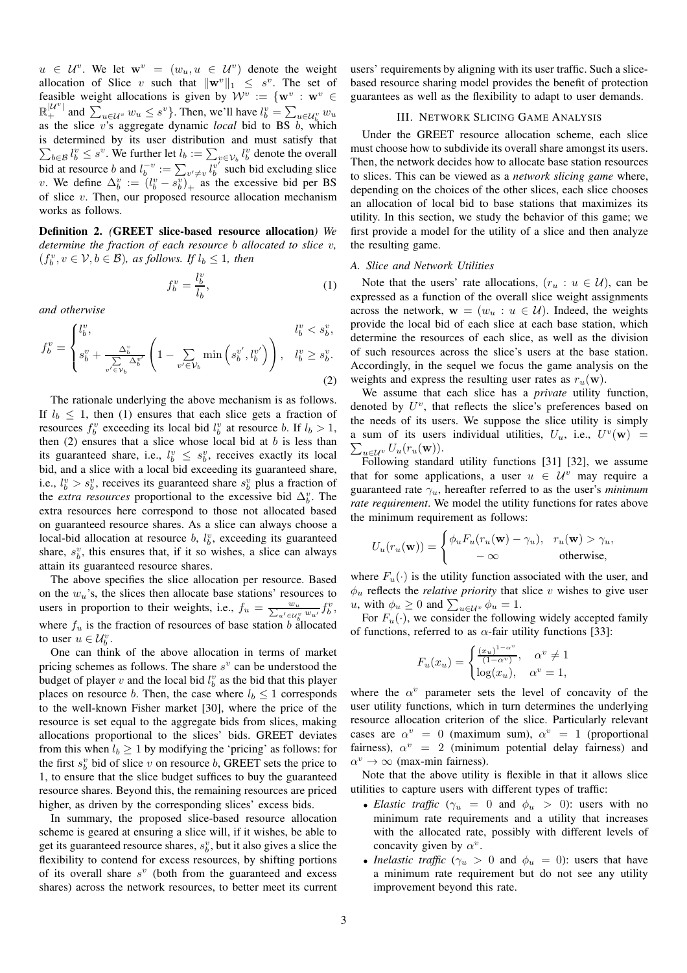$u \in \mathcal{U}^v$ . We let  $\mathbf{w}^v = (w_u, u \in \mathcal{U}^v)$  denote the weight allocation of Slice v such that  $\|\mathbf{w}^v\|_1 \leq s^v$ . The set of feasible weight allocations is given by  $\mathcal{W}^v := \{ \mathbf{w}^v : \mathbf{w}^v \in \mathcal{W}^v \}$  $\mathbb{R}^{|{\mathcal{U}^v}|}$  and  $\sum_{u \in {\mathcal{U}^v}} w_u \leq s^v$ . Then, we'll have  $l_b^v = \sum_{u \in {\mathcal{U}^v_b}} w_u$ as the slice v's aggregate dynamic *local* bid to BS b, which is determined by its user distribution and must satisfy that  $\sum_{b \in \mathcal{B}} l_b^v \leq s^v$ . We further let  $l_b := \sum_{v \in \mathcal{V}_b} l_b^v$  denote the overall bid at resource b and  $l_b^{-v} := \sum_{v' \neq v} l_b^{v'}$  such bid excluding slice v. We define  $\Delta_b^v := (l_b^v - s_b^v)_+$  as the excessive bid per BS of slice  $v$ . Then, our proposed resource allocation mechanism works as follows.

Definition 2. *(*GREET slice-based resource allocation*) We determine the fraction of each resource* b *allocated to slice* v*,*  $(f_b^v, v \in \mathcal{V}, b \in \mathcal{B})$ *, as follows. If*  $l_b \leq 1$ *, then* 

$$
f_b^v = \frac{l_b^v}{l_b},\tag{1}
$$

*and otherwise*

$$
f_b^v = \begin{cases} l_b^v, & l_b^v < s_b^v, \\ s_b^v + \frac{\Delta_b^v}{\sum\limits_{v' \in \mathcal{V}_b} \Delta_b^{v'}} \left( 1 - \sum\limits_{v' \in \mathcal{V}_b} \min\left(s_b^{v'}, l_b^{v'}\right) \right), & l_b^v \ge s_b^v. \end{cases}
$$
(2)

The rationale underlying the above mechanism is as follows. If  $l_b \leq 1$ , then (1) ensures that each slice gets a fraction of resources  $f_b^v$  exceeding its local bid  $l_b^v$  at resource b. If  $l_b > 1$ , then  $(2)$  ensures that a slice whose local bid at b is less than its guaranteed share, i.e.,  $l_b^v \leq s_b^v$ , receives exactly its local bid, and a slice with a local bid exceeding its guaranteed share, i.e.,  $l_b^v > s_b^v$ , receives its guaranteed share  $s_b^v$  plus a fraction of the *extra resources* proportional to the excessive bid  $\Delta_b^v$ . The extra resources here correspond to those not allocated based on guaranteed resource shares. As a slice can always choose a local-bid allocation at resource  $b$ ,  $l_b^v$ , exceeding its guaranteed share,  $s_b^v$ , this ensures that, if it so wishes, a slice can always attain its guaranteed resource shares.

The above specifies the slice allocation per resource. Based on the  $w_u$ 's, the slices then allocate base stations' resources to users in proportion to their weights, i.e.,  $f_u = \frac{w_u}{\sum_{u' \in \mathcal{U}_b^v} w_{u'}} f_b^v$ , where  $f_u$  is the fraction of resources of base station b allocated to user  $u \in \mathcal{U}_b^v$ .

One can think of the above allocation in terms of market pricing schemes as follows. The share  $s^v$  can be understood the budget of player v and the local bid  $l_b^v$  as the bid that this player places on resource b. Then, the case where  $l_b \leq 1$  corresponds to the well-known Fisher market [30], where the price of the resource is set equal to the aggregate bids from slices, making allocations proportional to the slices' bids. GREET deviates from this when  $l_b \geq 1$  by modifying the 'pricing' as follows: for the first  $s_b^v$  bid of slice v on resource b, GREET sets the price to 1, to ensure that the slice budget suffices to buy the guaranteed resource shares. Beyond this, the remaining resources are priced higher, as driven by the corresponding slices' excess bids.

In summary, the proposed slice-based resource allocation scheme is geared at ensuring a slice will, if it wishes, be able to get its guaranteed resource shares,  $s_b^v$ , but it also gives a slice the flexibility to contend for excess resources, by shifting portions of its overall share  $s^v$  (both from the guaranteed and excess shares) across the network resources, to better meet its current users' requirements by aligning with its user traffic. Such a slicebased resource sharing model provides the benefit of protection guarantees as well as the flexibility to adapt to user demands.

## III. NETWORK SLICING GAME ANALYSIS

Under the GREET resource allocation scheme, each slice must choose how to subdivide its overall share amongst its users. Then, the network decides how to allocate base station resources to slices. This can be viewed as a *network slicing game* where, depending on the choices of the other slices, each slice chooses an allocation of local bid to base stations that maximizes its utility. In this section, we study the behavior of this game; we first provide a model for the utility of a slice and then analyze the resulting game.

## *A. Slice and Network Utilities*

Note that the users' rate allocations,  $(r_u : u \in U)$ , can be expressed as a function of the overall slice weight assignments across the network,  $\mathbf{w} = (w_u : u \in \mathcal{U})$ . Indeed, the weights provide the local bid of each slice at each base station, which determine the resources of each slice, as well as the division of such resources across the slice's users at the base station. Accordingly, in the sequel we focus the game analysis on the weights and express the resulting user rates as  $r_u(\mathbf{w})$ .

We assume that each slice has a *private* utility function, denoted by  $U^v$ , that reflects the slice's preferences based on the needs of its users. We suppose the slice utility is simply a sum of its users individual utilities,  $U_u$ , i.e.,  $U^v(\mathbf{w})$  =  $\sum_{u\in\mathcal{U}^v} U_u(r_u(\mathbf{w})).$ 

Following standard utility functions [31] [32], we assume that for some applications, a user  $u \in \mathcal{U}^v$  may require a guaranteed rate  $\gamma_u$ , hereafter referred to as the user's *minimum rate requirement*. We model the utility functions for rates above the minimum requirement as follows:

$$
U_u(r_u(\mathbf{w})) = \begin{cases} \phi_u F_u(r_u(\mathbf{w}) - \gamma_u), & r_u(\mathbf{w}) > \gamma_u, \\ -\infty & \text{otherwise,} \end{cases}
$$

where  $F_u(\cdot)$  is the utility function associated with the user, and  $\phi_u$  reflects the *relative priority* that slice v wishes to give user *u*, with  $\phi_u \ge 0$  and  $\sum_{u \in \mathcal{U}^v} \phi_u = 1$ .

For  $F_u(\cdot)$ , we consider the following widely accepted family of functions, referred to as  $\alpha$ -fair utility functions [33]:

$$
F_u(x_u) = \begin{cases} \frac{(x_u)^{1-\alpha^v}}{(1-\alpha^v)}, & \alpha^v \neq 1\\ \log(x_u), & \alpha^v = 1, \end{cases}
$$

where the  $\alpha^v$  parameter sets the level of concavity of the user utility functions, which in turn determines the underlying resource allocation criterion of the slice. Particularly relevant cases are  $\alpha^v = 0$  (maximum sum),  $\alpha^v = 1$  (proportional fairness),  $\alpha^v = 2$  (minimum potential delay fairness) and  $\alpha^v \to \infty$  (max-min fairness).

Note that the above utility is flexible in that it allows slice utilities to capture users with different types of traffic:

- *Elastic traffic* ( $\gamma_u = 0$  and  $\phi_u > 0$ ): users with no minimum rate requirements and a utility that increases with the allocated rate, possibly with different levels of concavity given by  $\alpha^v$ .
- *Inelastic traffic* ( $\gamma_u > 0$  and  $\phi_u = 0$ ): users that have a minimum rate requirement but do not see any utility improvement beyond this rate.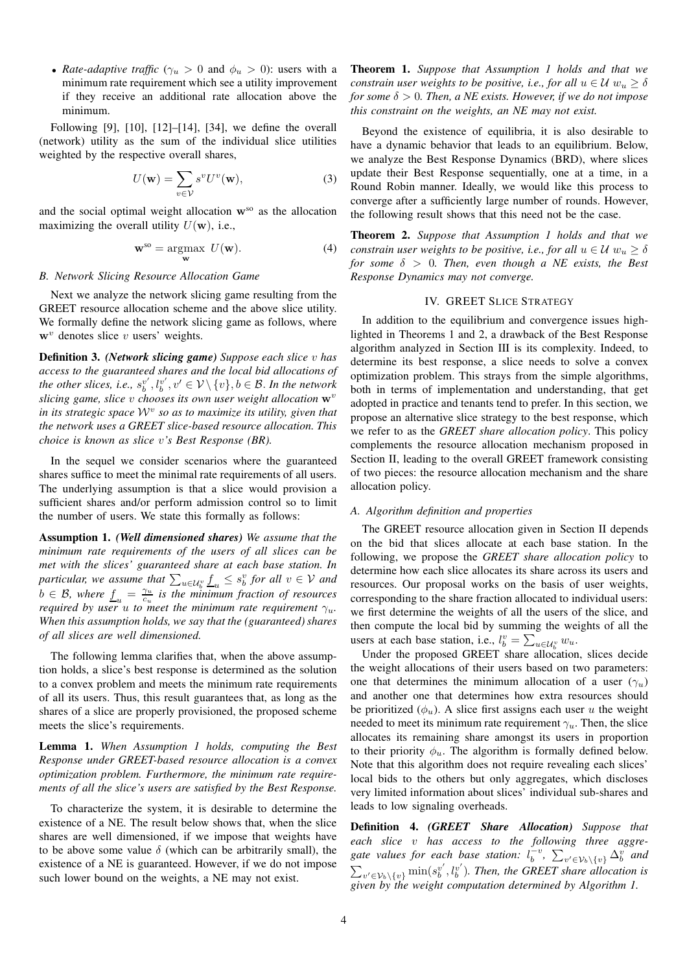• *Rate-adaptive traffic* ( $\gamma_u > 0$  and  $\phi_u > 0$ ): users with a minimum rate requirement which see a utility improvement if they receive an additional rate allocation above the minimum.

Following [9], [10], [12]–[14], [34], we define the overall (network) utility as the sum of the individual slice utilities weighted by the respective overall shares,

$$
U(\mathbf{w}) = \sum_{v \in \mathcal{V}} s^v U^v(\mathbf{w}),\tag{3}
$$

and the social optimal weight allocation  $w^{so}$  as the allocation maximizing the overall utility  $U(\mathbf{w})$ , i.e.,

$$
\mathbf{w}^{\text{so}} = \underset{\mathbf{w}}{\text{argmax}} \ U(\mathbf{w}). \tag{4}
$$

## *B. Network Slicing Resource Allocation Game*

Next we analyze the network slicing game resulting from the GREET resource allocation scheme and the above slice utility. We formally define the network slicing game as follows, where  $w<sup>v</sup>$  denotes slice v users' weights.

Definition 3. *(Network slicing game) Suppose each slice* v *has access to the guaranteed shares and the local bid allocations of* the other slices, i.e.,  $s_b^{v'}, l_b^{v'}, v' \in \mathcal{V} \setminus \{v\}, b \in \mathcal{B}$ . In the network *slicing game, slice v chooses its own user weight allocation*  $\mathbf{w}^v$ *in its strategic space* W<sup>v</sup> *so as to maximize its utility, given that the network uses a GREET slice-based resource allocation. This choice is known as slice* v*'s Best Response (BR).*

In the sequel we consider scenarios where the guaranteed shares suffice to meet the minimal rate requirements of all users. The underlying assumption is that a slice would provision a sufficient shares and/or perform admission control so to limit the number of users. We state this formally as follows:

Assumption 1. *(Well dimensioned shares) We assume that the minimum rate requirements of the users of all slices can be met with the slices' guaranteed share at each base station. In particular, we assume that*  $\sum_{u \in \mathcal{U}_b^v} \underline{f}_u \leq s_b^v$  *for all*  $v \in \mathcal{V}$  *and*  $b \in \mathcal{B}$ , where  $\underline{f}_u = \frac{\gamma_u}{c_u}$  is the minimum fraction of resources *required by user u to meet the minimum rate requirement*  $\gamma_u$ *. When this assumption holds, we say that the (guaranteed) shares of all slices are well dimensioned.*

The following lemma clarifies that, when the above assumption holds, a slice's best response is determined as the solution to a convex problem and meets the minimum rate requirements of all its users. Thus, this result guarantees that, as long as the shares of a slice are properly provisioned, the proposed scheme meets the slice's requirements.

Lemma 1. *When Assumption 1 holds, computing the Best Response under GREET-based resource allocation is a convex optimization problem. Furthermore, the minimum rate requirements of all the slice's users are satisfied by the Best Response.*

To characterize the system, it is desirable to determine the existence of a NE. The result below shows that, when the slice shares are well dimensioned, if we impose that weights have to be above some value  $\delta$  (which can be arbitrarily small), the existence of a NE is guaranteed. However, if we do not impose such lower bound on the weights, a NE may not exist.

Theorem 1. *Suppose that Assumption 1 holds and that we constrain user weights to be positive, i.e., for all*  $u \in \mathcal{U}$   $w_u \geq \delta$ *for some*  $\delta > 0$ *. Then, a NE exists. However, if we do not impose this constraint on the weights, an NE may not exist.*

Beyond the existence of equilibria, it is also desirable to have a dynamic behavior that leads to an equilibrium. Below, we analyze the Best Response Dynamics (BRD), where slices update their Best Response sequentially, one at a time, in a Round Robin manner. Ideally, we would like this process to converge after a sufficiently large number of rounds. However, the following result shows that this need not be the case.

Theorem 2. *Suppose that Assumption 1 holds and that we constrain user weights to be positive, i.e., for all*  $u \in \mathcal{U}$   $w_u > \delta$ *for some*  $\delta > 0$ *. Then, even though a NE exists, the Best Response Dynamics may not converge.*

#### IV. GREET SLICE STRATEGY

In addition to the equilibrium and convergence issues highlighted in Theorems 1 and 2, a drawback of the Best Response algorithm analyzed in Section III is its complexity. Indeed, to determine its best response, a slice needs to solve a convex optimization problem. This strays from the simple algorithms, both in terms of implementation and understanding, that get adopted in practice and tenants tend to prefer. In this section, we propose an alternative slice strategy to the best response, which we refer to as the *GREET share allocation policy*. This policy complements the resource allocation mechanism proposed in Section II, leading to the overall GREET framework consisting of two pieces: the resource allocation mechanism and the share allocation policy.

## *A. Algorithm definition and properties*

The GREET resource allocation given in Section II depends on the bid that slices allocate at each base station. In the following, we propose the *GREET share allocation policy* to determine how each slice allocates its share across its users and resources. Our proposal works on the basis of user weights, corresponding to the share fraction allocated to individual users: we first determine the weights of all the users of the slice, and then compute the local bid by summing the weights of all the users at each base station, i.e.,  $l_b^v = \sum_{u \in \mathcal{U}_b^v} w_u$ .

Under the proposed GREET share allocation, slices decide the weight allocations of their users based on two parameters: one that determines the minimum allocation of a user  $(\gamma_u)$ and another one that determines how extra resources should be prioritized  $(\phi_u)$ . A slice first assigns each user u the weight needed to meet its minimum rate requirement  $\gamma_u$ . Then, the slice allocates its remaining share amongst its users in proportion to their priority  $\phi_u$ . The algorithm is formally defined below. Note that this algorithm does not require revealing each slices' local bids to the others but only aggregates, which discloses very limited information about slices' individual sub-shares and leads to low signaling overheads.

Definition 4. *(GREET Share Allocation) Suppose that each slice* v *has access to the following three aggre*gate values for each base station:  $l_b^{\pm v}$ ,  $\sum_{v' \in \mathcal{V}_b \setminus \{v\}} \Delta_b^v$  and  $\sum_{v' \in \mathcal{V}_b \setminus \{v\}} \min(s_v^{v'}, l_b^{v'})$ . Then, the GREET share allocation is *given by the weight computation determined by Algorithm 1.*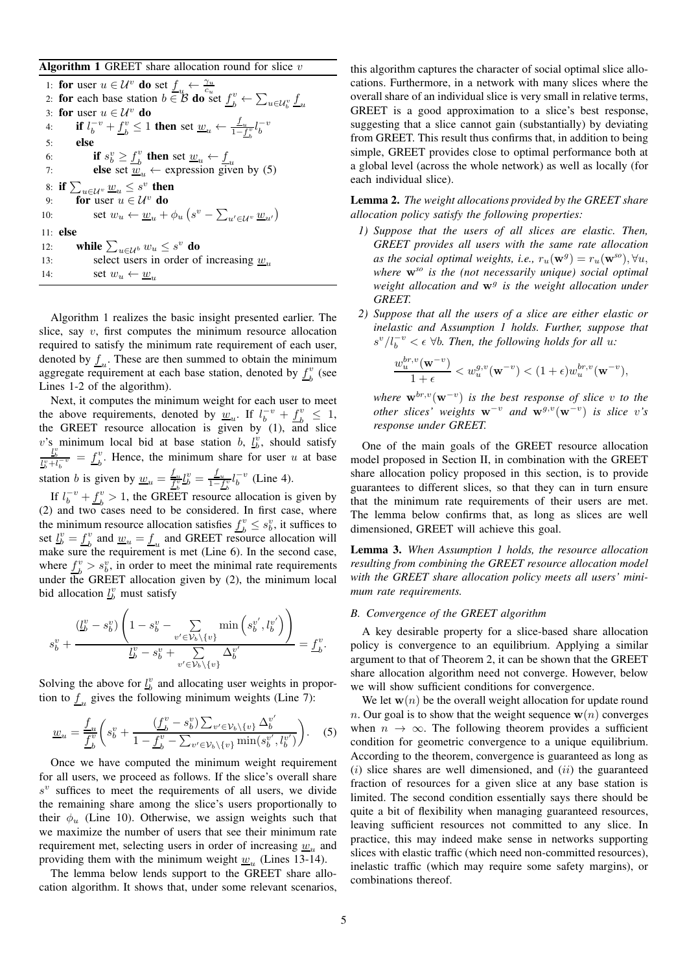Algorithm 1 GREET share allocation round for slice  $v$ 

1: for user  $u \in \mathcal{U}^v$  do set  $\underline{f}_u \leftarrow \frac{\gamma_u}{c_u}$ <br>2: for each base station  $b \in \mathcal{B}$  do set  $\underline{f}_b^v \leftarrow \sum_{u \in \mathcal{U}_b^v} \underline{f}_u$ 3: for user  $u \in \mathcal{U}^v$  do 4: **if**  $l_b^{-v} + \underline{f}_b^v$  $\frac{v}{b} \leq 1$  then set  $\underline{w}_u \leftarrow \frac{f_u}{1 - f_b^v} l_b^{-v}$ 5: else 6: if  $s_b^v \geq \underline{f}_b^v$ 6: **if**  $s_b^v \ge \underline{f}_b^v$  then set  $\underline{w}_u \leftarrow \underline{f}_u$ <br>
7: **else** set  $\underline{w}_u \leftarrow$  expression given by (5) 8: if  $\sum_{u\in\mathcal{U}^v}\underline{w}_u\leq s^v$  then 9: for user  $u \in \mathcal{U}^v$  do 10:  $\text{set } w_u \leftarrow \underline{w}_u + \phi_u \left( s^v - \sum_{u' \in \mathcal{U}^v} \underline{w}_{u'} \right)$ 11: else 12: while  $\sum_{u \in \mathcal{U}^b} w_u \leq s^v$  do 13: select users in order of increasing  $w_{\nu}$ 14: set  $w_u \leftarrow \underline{w}_u$ 

Algorithm 1 realizes the basic insight presented earlier. The slice, say  $v$ , first computes the minimum resource allocation required to satisfy the minimum rate requirement of each user, denoted by  $\underline{f}_u$ . These are then summed to obtain the minimum aggregate requirement at each base station, denoted by  $f_k^v$  $\frac{v}{b}$  (see Lines 1-2 of the algorithm).

Next, it computes the minimum weight for each user to meet the above requirements, denoted by  $\underline{w}_u$ . If  $l_b^{-v} + f_b^v$  $\frac{v}{b} \leq 1$ , the GREET resource allocation is given by (1), and slice v's minimum local bid at base station b,  $l_b^v$ , should satisfy  $\frac{l_b^v}{l_b^v + l_b^{-v}} = f_b^v$  $b<sub>b</sub>$ . Hence, the minimum share for user u at base station *b* is given by  $\underline{w}_u = \frac{f_u}{f_b^v} l_b^v = \frac{f_u}{1 - f_b^v} l_b^{-v}$  (Line 4).

If  $l_b^{-v} + \underline{f}_b^v$  $b<sup>v</sup> > 1$ , the GREET resource allocation is given by (2) and two cases need to be considered. In first case, where the minimum resource allocation satisfies  $\underline{f}_b^v \leq s_b^v$ , it suffices to set  $\underline{l}_b^v = \underline{f}_b^v$  and  $\underline{w}_u = \underline{f}_u$  and GREET reso  $\frac{v}{b}$  and  $\underline{w}_u = \underline{f}_u$  and GREET resource allocation will make sure the requirement is met (Line 6). In the second case, where  $f_k^v$  $b_b^v > s_b^v$ , in order to meet the minimal rate requirements under the GREET allocation given by  $(2)$ , the minimum local bid allocation  $\underline{l}_b^v$  must satisfy

$$
s_b^v + \frac{\left(\underline{L}_b^v - s_b^v\right)\left(1 - s_b^v - \sum_{v' \in \mathcal{V}_b \setminus \{v\}} \min\left(s_b^{v'}, l_b^{v'}\right)\right)}{\underline{L}_b^v - s_b^v + \sum_{v' \in \mathcal{V}_b \setminus \{v\}} \Delta_b^{v'}} = \underline{f}_b^v.
$$

Solving the above for  $\underline{l}_b^v$  and allocating user weights in proportion to  $\underline{f}_u$  gives the following minimum weights (Line 7):

$$
\underline{w}_{u} = \frac{f_{u}}{f_{b}^{v}} \left( s_{b}^{v} + \frac{(f_{b}^{v} - s_{b}^{v}) \sum_{v' \in \mathcal{V}_{b} \setminus \{v\}} \Delta_{b}^{v'}}{1 - f_{b}^{v} - \sum_{v' \in \mathcal{V}_{b} \setminus \{v\}} \min(s_{b}^{v'}, l_{b}^{v'})} \right).
$$
 (5)

Once we have computed the minimum weight requirement for all users, we proceed as follows. If the slice's overall share  $s^{v}$  suffices to meet the requirements of all users, we divide the remaining share among the slice's users proportionally to their  $\phi_u$  (Line 10). Otherwise, we assign weights such that we maximize the number of users that see their minimum rate requirement met, selecting users in order of increasing  $\underline{w}_u$  and providing them with the minimum weight  $\underline{w}_u$  (Lines 13-14).

The lemma below lends support to the GREET share allocation algorithm. It shows that, under some relevant scenarios, this algorithm captures the character of social optimal slice allocations. Furthermore, in a network with many slices where the overall share of an individual slice is very small in relative terms, GREET is a good approximation to a slice's best response, suggesting that a slice cannot gain (substantially) by deviating from GREET. This result thus confirms that, in addition to being simple, GREET provides close to optimal performance both at a global level (across the whole network) as well as locally (for each individual slice).

Lemma 2. *The weight allocations provided by the GREET share allocation policy satisfy the following properties:*

- *1) Suppose that the users of all slices are elastic. Then, GREET provides all users with the same rate allocation* as the social optimal weights, i.e.,  $r_u(\mathbf{w}^g) = r_u(\mathbf{w}^{so}), \forall u$ , *where* w*so is the (not necessarily unique) social optimal* weight allocation and  $w^g$  is the weight allocation under *GREET.*
- *2) Suppose that all the users of a slice are either elastic or inelastic and Assumption 1 holds. Further, suppose that*  $s^{\nu}/l_b^{-\nu} < \epsilon$   $\forall b$ . Then, the following holds for all u:

$$
\frac{w_u^{br,v}(\mathbf{w}^{-v})}{1+\epsilon}
$$

 $where \mathbf{w}^{br,v}(\mathbf{w}^{-v})$  *is the best response of slice* v *to the other slices weights*  $w^{-v}$  *and*  $w^{g,v}(w^{-v})$  *is slice* v's *response under GREET.*

One of the main goals of the GREET resource allocation model proposed in Section II, in combination with the GREET share allocation policy proposed in this section, is to provide guarantees to different slices, so that they can in turn ensure that the minimum rate requirements of their users are met. The lemma below confirms that, as long as slices are well dimensioned, GREET will achieve this goal.

Lemma 3. *When Assumption 1 holds, the resource allocation resulting from combining the GREET resource allocation model with the GREET share allocation policy meets all users' minimum rate requirements.*

## *B. Convergence of the GREET algorithm*

A key desirable property for a slice-based share allocation policy is convergence to an equilibrium. Applying a similar argument to that of Theorem 2, it can be shown that the GREET share allocation algorithm need not converge. However, below we will show sufficient conditions for convergence.

We let  $w(n)$  be the overall weight allocation for update round n. Our goal is to show that the weight sequence  $w(n)$  converges when  $n \to \infty$ . The following theorem provides a sufficient condition for geometric convergence to a unique equilibrium. According to the theorem, convergence is guaranteed as long as  $(i)$  slice shares are well dimensioned, and  $(ii)$  the guaranteed fraction of resources for a given slice at any base station is limited. The second condition essentially says there should be quite a bit of flexibility when managing guaranteed resources, leaving sufficient resources not committed to any slice. In practice, this may indeed make sense in networks supporting slices with elastic traffic (which need non-committed resources), inelastic traffic (which may require some safety margins), or combinations thereof.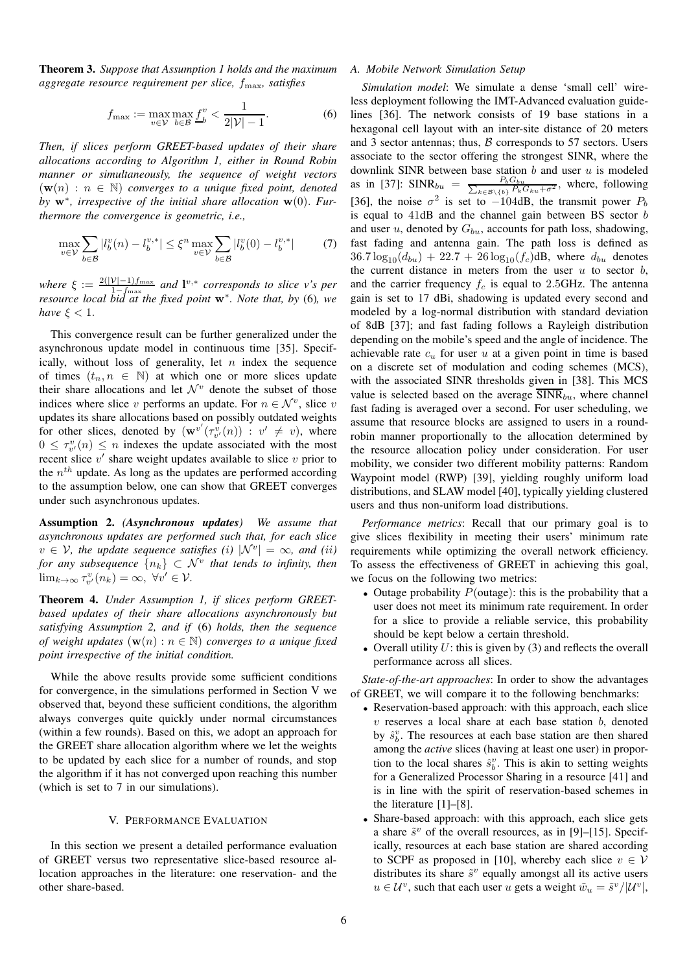Theorem 3. *Suppose that Assumption 1 holds and the maximum aggregate resource requirement per slice,* fmax*, satisfies*

$$
f_{\max} := \max_{v \in \mathcal{V}} \max_{b \in \mathcal{B}} \underline{f}_{b}^{v} < \frac{1}{2|\mathcal{V}| - 1}.\tag{6}
$$

*Then, if slices perform GREET-based updates of their share allocations according to Algorithm 1, either in Round Robin manner or simultaneously, the sequence of weight vectors*  $(\mathbf{w}(n) : n \in \mathbb{N})$  *converges to a unique fixed point, denoted by* w<sup>∗</sup> *, irrespective of the initial share allocation* w(0). *Furthermore the convergence is geometric, i.e.,*

$$
\max_{v \in \mathcal{V}} \sum_{b \in \mathcal{B}} |l_b^v(n) - l_b^{v,*}| \le \xi^n \max_{v \in \mathcal{V}} \sum_{b \in \mathcal{B}} |l_b^v(0) - l_b^{v,*}| \tag{7}
$$

*where*  $\xi := \frac{2(|\mathcal{V}|-1)f_{\text{max}}}{1-f}$  *and*  $\mathbf{l}^{v,*}$  *corresponds to slice v's per resource local bid at the fixed point* w<sup>∗</sup>. *Note that, by* (6)*, we resource local bid at the fixed point* w<sup>∗</sup>. *Note that, by* (6)*, we have*  $\xi < 1$ *.* 

This convergence result can be further generalized under the asynchronous update model in continuous time [35]. Specifically, without loss of generality, let  $n$  index the sequence of times  $(t_n, n \in \mathbb{N})$  at which one or more slices update their share allocations and let  $\mathcal{N}^v$  denote the subset of those indices where slice v performs an update. For  $n \in \mathcal{N}^v$ , slice v updates its share allocations based on possibly outdated weights for other slices, denoted by  $(\mathbf{w}^{v'}(\tau_{v'}^{\hat{v}}(n)) : v' \neq v)$ , where  $0 \leq \tau_{v'}^v(n) \leq n$  indexes the update associated with the most recent slice  $v'$  share weight updates available to slice  $v$  prior to the  $n^{th}$  update. As long as the updates are performed according to the assumption below, one can show that GREET converges under such asynchronous updates.

Assumption 2. *(Asynchronous updates) We assume that asynchronous updates are performed such that, for each slice*  $v \in V$ , the update sequence satisfies (i)  $|N^v| = \infty$ , and (ii) for any subsequence  $\{n_k\}\, \subset\, \mathcal{N}^v$  that tends to infinity, then  $\lim_{k\to\infty} \tau_{v'}^v(n_k) = \infty, \ \forall v' \in \mathcal{V}.$ 

Theorem 4. *Under Assumption 1, if slices perform GREETbased updates of their share allocations asynchronously but satisfying Assumption 2, and if* (6) *holds, then the sequence of weight updates*  $(\mathbf{w}(n) : n \in \mathbb{N})$  *converges to a unique fixed point irrespective of the initial condition.*

While the above results provide some sufficient conditions for convergence, in the simulations performed in Section V we observed that, beyond these sufficient conditions, the algorithm always converges quite quickly under normal circumstances (within a few rounds). Based on this, we adopt an approach for the GREET share allocation algorithm where we let the weights to be updated by each slice for a number of rounds, and stop the algorithm if it has not converged upon reaching this number (which is set to 7 in our simulations).

#### V. PERFORMANCE EVALUATION

In this section we present a detailed performance evaluation of GREET versus two representative slice-based resource allocation approaches in the literature: one reservation- and the other share-based.

## *A. Mobile Network Simulation Setup*

*Simulation model*: We simulate a dense 'small cell' wireless deployment following the IMT-Advanced evaluation guidelines [36]. The network consists of 19 base stations in a hexagonal cell layout with an inter-site distance of 20 meters and 3 sector antennas; thus,  $\beta$  corresponds to 57 sectors. Users associate to the sector offering the strongest SINR, where the downlink SINR between base station  $b$  and user  $u$  is modeled as in [37]: SINR<sub>bu</sub> =  $\frac{P_b G_{bu}}{\sum_{k \in \mathcal{B} \setminus \{b\}} P_k G_{ku} + \sigma^2}$ , where, following [36], the noise  $\sigma^2$  is set to  $-104$ dB, the transmit power  $P_b$ is equal to  $41dB$  and the channel gain between BS sector  $b$ and user u, denoted by  $G_{bu}$ , accounts for path loss, shadowing, fast fading and antenna gain. The path loss is defined as  $36.7 \log_{10}(d_{bu}) + 22.7 + 26 \log_{10}(f_c)$ dB, where  $d_{bu}$  denotes the current distance in meters from the user  $u$  to sector  $b$ , and the carrier frequency  $f_c$  is equal to 2.5GHz. The antenna gain is set to 17 dBi, shadowing is updated every second and modeled by a log-normal distribution with standard deviation of 8dB [37]; and fast fading follows a Rayleigh distribution depending on the mobile's speed and the angle of incidence. The achievable rate  $c_u$  for user u at a given point in time is based on a discrete set of modulation and coding schemes (MCS), with the associated SINR thresholds given in [38]. This MCS value is selected based on the average  $SINR_{bu}$ , where channel fast fading is averaged over a second. For user scheduling, we assume that resource blocks are assigned to users in a roundrobin manner proportionally to the allocation determined by the resource allocation policy under consideration. For user mobility, we consider two different mobility patterns: Random Waypoint model (RWP) [39], yielding roughly uniform load distributions, and SLAW model [40], typically yielding clustered users and thus non-uniform load distributions.

*Performance metrics*: Recall that our primary goal is to give slices flexibility in meeting their users' minimum rate requirements while optimizing the overall network efficiency. To assess the effectiveness of GREET in achieving this goal, we focus on the following two metrics:

- Outage probability  $P(\text{outage})$ : this is the probability that a user does not meet its minimum rate requirement. In order for a slice to provide a reliable service, this probability should be kept below a certain threshold.
- Overall utility  $U$ : this is given by (3) and reflects the overall performance across all slices.

*State-of-the-art approaches*: In order to show the advantages of GREET, we will compare it to the following benchmarks:

- Reservation-based approach: with this approach, each slice  $v$  reserves a local share at each base station  $b$ , denoted by  $\hat{s}_b^v$ . The resources at each base station are then shared among the *active* slices (having at least one user) in proportion to the local shares  $\hat{s}_b^v$ . This is akin to setting weights for a Generalized Processor Sharing in a resource [41] and is in line with the spirit of reservation-based schemes in the literature [1]–[8].
- Share-based approach: with this approach, each slice gets a share  $\tilde{s}^v$  of the overall resources, as in [9]-[15]. Specifically, resources at each base station are shared according to SCPF as proposed in [10], whereby each slice  $v \in V$ distributes its share  $\tilde{s}^v$  equally amongst all its active users  $u \in \mathcal{U}^v$ , such that each user u gets a weight  $\tilde{w}_u = \tilde{s}^v / |\mathcal{U}^v|$ ,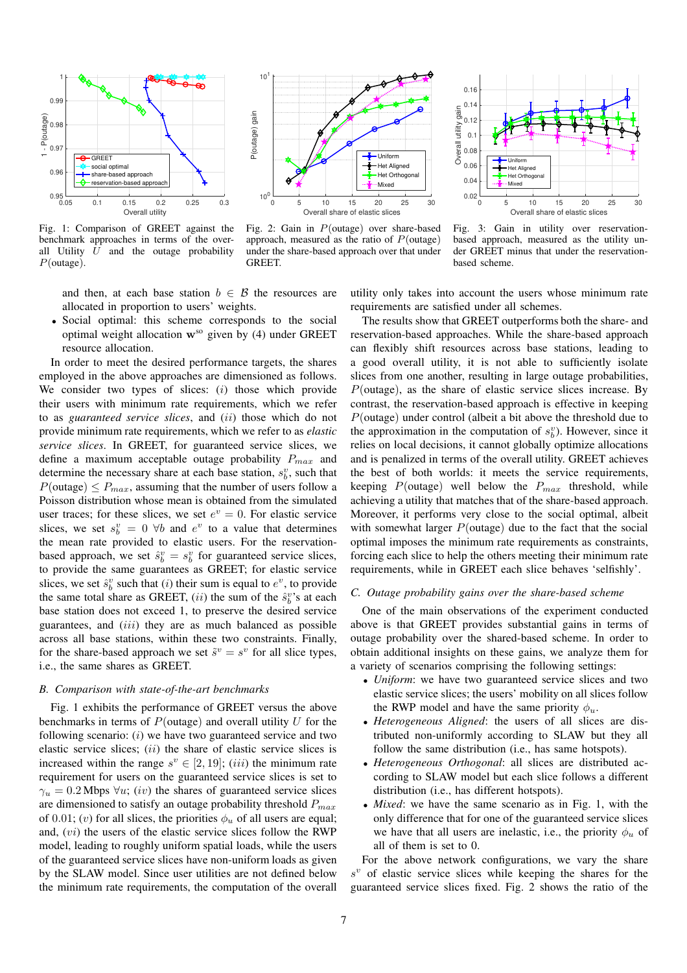

Fig. 1: Comparison of GREET against the benchmark approaches in terms of the overall Utility  $U$  and the outage probability P(outage).



Fig. 2: Gain in P(outage) over share-based approach, measured as the ratio of  $P$ (outage) under the share-based approach over that under **GREET** 



Fig. 3: Gain in utility over reservationbased approach, measured as the utility under GREET minus that under the reservationbased scheme.

and then, at each base station  $b \in \mathcal{B}$  the resources are allocated in proportion to users' weights.

• Social optimal: this scheme corresponds to the social optimal weight allocation  $w^{so}$  given by (4) under GREET resource allocation.

In order to meet the desired performance targets, the shares employed in the above approaches are dimensioned as follows. We consider two types of slices:  $(i)$  those which provide their users with minimum rate requirements, which we refer to as *guaranteed service slices*, and (ii) those which do not provide minimum rate requirements, which we refer to as *elastic service slices*. In GREET, for guaranteed service slices, we define a maximum acceptable outage probability  $P_{max}$  and determine the necessary share at each base station,  $s_b^v$ , such that  $P(\text{outage}) \leq P_{max}$ , assuming that the number of users follow a Poisson distribution whose mean is obtained from the simulated user traces; for these slices, we set  $e^v = 0$ . For elastic service slices, we set  $s_b^v = 0 \ \forall b$  and  $e^v$  to a value that determines the mean rate provided to elastic users. For the reservationbased approach, we set  $\hat{s}_b^v = s_b^v$  for guaranteed service slices, to provide the same guarantees as GREET; for elastic service slices, we set  $\hat{s}_b^v$  such that (*i*) their sum is equal to  $e^v$ , to provide the same total share as GREET,  $(ii)$  the sum of the  $\hat{s}_b^v$ 's at each base station does not exceed 1, to preserve the desired service guarantees, and (iii) they are as much balanced as possible across all base stations, within these two constraints. Finally, for the share-based approach we set  $\tilde{s}^v = s^v$  for all slice types, i.e., the same shares as GREET.

## *B. Comparison with state-of-the-art benchmarks*

Fig. 1 exhibits the performance of GREET versus the above benchmarks in terms of  $P(\text{outage})$  and overall utility U for the following scenario:  $(i)$  we have two guaranteed service and two elastic service slices;  $(ii)$  the share of elastic service slices is increased within the range  $s^v \in [2, 19]$ ;  $(iii)$  the minimum rate requirement for users on the guaranteed service slices is set to  $\gamma_u = 0.2$  Mbps  $\forall u$ ; (*iv*) the shares of guaranteed service slices are dimensioned to satisfy an outage probability threshold  $P_{max}$ of 0.01; (v) for all slices, the priorities  $\phi_u$  of all users are equal; and,  $(vi)$  the users of the elastic service slices follow the RWP model, leading to roughly uniform spatial loads, while the users of the guaranteed service slices have non-uniform loads as given by the SLAW model. Since user utilities are not defined below the minimum rate requirements, the computation of the overall utility only takes into account the users whose minimum rate requirements are satisfied under all schemes.

The results show that GREET outperforms both the share- and reservation-based approaches. While the share-based approach can flexibly shift resources across base stations, leading to a good overall utility, it is not able to sufficiently isolate slices from one another, resulting in large outage probabilities,  $P$ (outage), as the share of elastic service slices increase. By contrast, the reservation-based approach is effective in keeping P(outage) under control (albeit a bit above the threshold due to the approximation in the computation of  $s_b^v$ ). However, since it relies on local decisions, it cannot globally optimize allocations and is penalized in terms of the overall utility. GREET achieves the best of both worlds: it meets the service requirements, keeping  $P(\text{outage})$  well below the  $P_{max}$  threshold, while achieving a utility that matches that of the share-based approach. Moreover, it performs very close to the social optimal, albeit with somewhat larger  $P$ (outage) due to the fact that the social optimal imposes the minimum rate requirements as constraints, forcing each slice to help the others meeting their minimum rate requirements, while in GREET each slice behaves 'selfishly'.

#### *C. Outage probability gains over the share-based scheme*

One of the main observations of the experiment conducted above is that GREET provides substantial gains in terms of outage probability over the shared-based scheme. In order to obtain additional insights on these gains, we analyze them for a variety of scenarios comprising the following settings:

- *Uniform*: we have two guaranteed service slices and two elastic service slices; the users' mobility on all slices follow the RWP model and have the same priority  $\phi_u$ .
- *Heterogeneous Aligned*: the users of all slices are distributed non-uniformly according to SLAW but they all follow the same distribution (i.e., has same hotspots).
- *Heterogeneous Orthogonal*: all slices are distributed according to SLAW model but each slice follows a different distribution (i.e., has different hotspots).
- *Mixed*: we have the same scenario as in Fig. 1, with the only difference that for one of the guaranteed service slices we have that all users are inelastic, i.e., the priority  $\phi_u$  of all of them is set to 0.

For the above network configurations, we vary the share  $s^{v}$  of elastic service slices while keeping the shares for the guaranteed service slices fixed. Fig. 2 shows the ratio of the